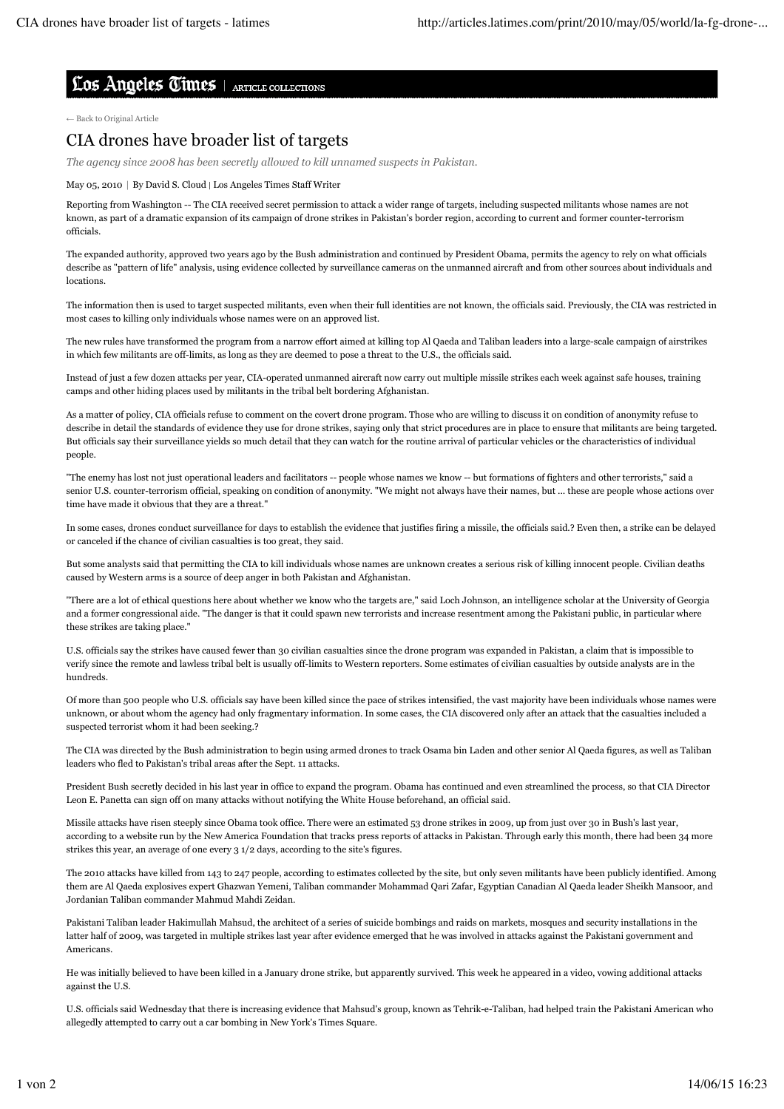## Los Angeles Times | ARTICLE COLLECTIONS

← Back to Original Article

## CIA drones have broader list of targets

*The agency since 2008 has been secretly allowed to kill unnamed suspects in Pakistan.*

May 05, 2010 | By David S. Cloud | Los Angeles Times Staff Writer

Reporting from Washington -- The CIA received secret permission to attack a wider range of targets, including suspected militants whose names are not known, as part of a dramatic expansion of its campaign of drone strikes in Pakistan's border region, according to current and former counter-terrorism officials.

The expanded authority, approved two years ago by the Bush administration and continued by President Obama, permits the agency to rely on what officials describe as "pattern of life" analysis, using evidence collected by surveillance cameras on the unmanned aircraft and from other sources about individuals and locations.

The information then is used to target suspected militants, even when their full identities are not known, the officials said. Previously, the CIA was restricted in most cases to killing only individuals whose names were on an approved list.

The new rules have transformed the program from a narrow effort aimed at killing top Al Qaeda and Taliban leaders into a large-scale campaign of airstrikes in which few militants are off-limits, as long as they are deemed to pose a threat to the U.S., the officials said.

Instead of just a few dozen attacks per year, CIA-operated unmanned aircraft now carry out multiple missile strikes each week against safe houses, training camps and other hiding places used by militants in the tribal belt bordering Afghanistan.

As a matter of policy, CIA officials refuse to comment on the covert drone program. Those who are willing to discuss it on condition of anonymity refuse to describe in detail the standards of evidence they use for drone strikes, saying only that strict procedures are in place to ensure that militants are being targeted. But officials say their surveillance yields so much detail that they can watch for the routine arrival of particular vehicles or the characteristics of individual people.

"The enemy has lost not just operational leaders and facilitators -- people whose names we know -- but formations of fighters and other terrorists," said a senior U.S. counter-terrorism official, speaking on condition of anonymity. "We might not always have their names, but ... these are people whose actions over time have made it obvious that they are a threat."

In some cases, drones conduct surveillance for days to establish the evidence that justifies firing a missile, the officials said.? Even then, a strike can be delayed or canceled if the chance of civilian casualties is too great, they said.

But some analysts said that permitting the CIA to kill individuals whose names are unknown creates a serious risk of killing innocent people. Civilian deaths caused by Western arms is a source of deep anger in both Pakistan and Afghanistan.

"There are a lot of ethical questions here about whether we know who the targets are," said Loch Johnson, an intelligence scholar at the University of Georgia and a former congressional aide. "The danger is that it could spawn new terrorists and increase resentment among the Pakistani public, in particular where these strikes are taking place."

U.S. officials say the strikes have caused fewer than 30 civilian casualties since the drone program was expanded in Pakistan, a claim that is impossible to verify since the remote and lawless tribal belt is usually off-limits to Western reporters. Some estimates of civilian casualties by outside analysts are in the hundreds.

Of more than 500 people who U.S. officials say have been killed since the pace of strikes intensified, the vast majority have been individuals whose names were unknown, or about whom the agency had only fragmentary information. In some cases, the CIA discovered only after an attack that the casualties included a suspected terrorist whom it had been seeking.?

The CIA was directed by the Bush administration to begin using armed drones to track Osama bin Laden and other senior Al Qaeda figures, as well as Taliban leaders who fled to Pakistan's tribal areas after the Sept. 11 attacks.

President Bush secretly decided in his last year in office to expand the program. Obama has continued and even streamlined the process, so that CIA Director Leon E. Panetta can sign off on many attacks without notifying the White House beforehand, an official said.

Missile attacks have risen steeply since Obama took office. There were an estimated 53 drone strikes in 2009, up from just over 30 in Bush's last year, according to a website run by the New America Foundation that tracks press reports of attacks in Pakistan. Through early this month, there had been 34 more strikes this year, an average of one every 3 1/2 days, according to the site's figures.

The 2010 attacks have killed from 143 to 247 people, according to estimates collected by the site, but only seven militants have been publicly identified. Among them are Al Qaeda explosives expert Ghazwan Yemeni, Taliban commander Mohammad Qari Zafar, Egyptian Canadian Al Qaeda leader Sheikh Mansoor, and Jordanian Taliban commander Mahmud Mahdi Zeidan.

Pakistani Taliban leader Hakimullah Mahsud, the architect of a series of suicide bombings and raids on markets, mosques and security installations in the latter half of 2009, was targeted in multiple strikes last year after evidence emerged that he was involved in attacks against the Pakistani government and Americans.

He was initially believed to have been killed in a January drone strike, but apparently survived. This week he appeared in a video, vowing additional attacks against the U.S.

U.S. officials said Wednesday that there is increasing evidence that Mahsud's group, known as Tehrik-e-Taliban, had helped train the Pakistani American who allegedly attempted to carry out a car bombing in New York's Times Square.